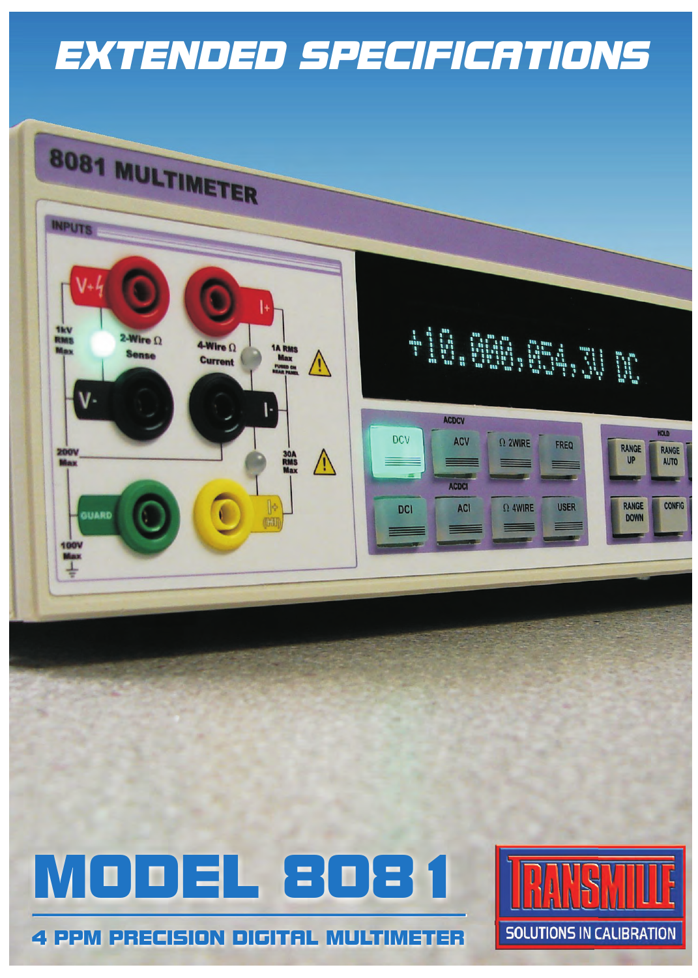# *EXTENDED SPECIFICATIONS*



4 PPM PRECISION DIGITAL MULTIMETER

/DDEL 8081

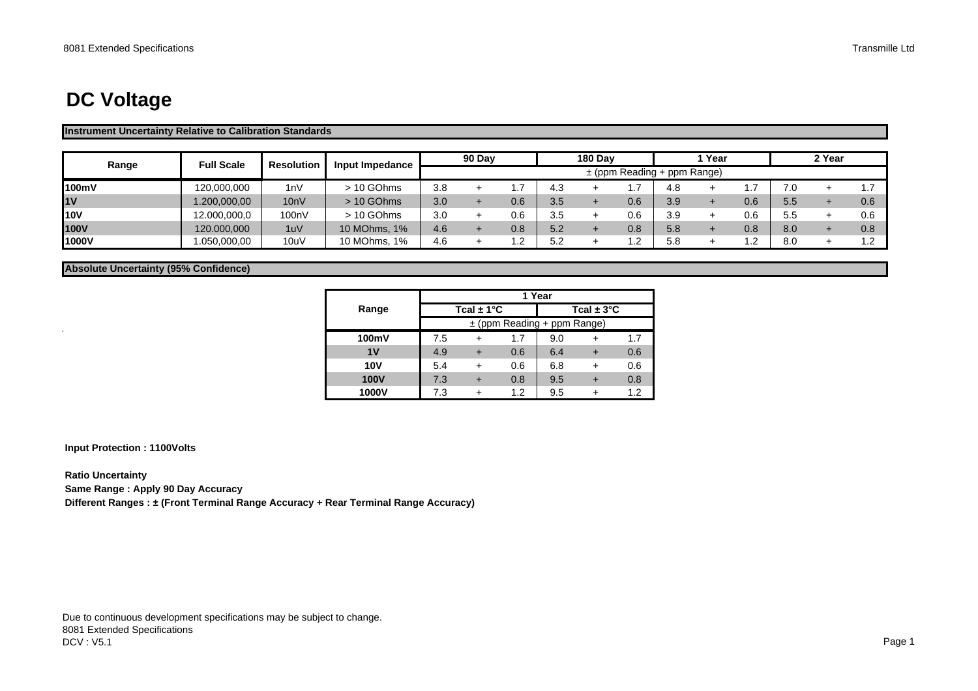# **DC Voltage**

#### **Instrument Uncertainty Relative to Calibration Standards**

| Range          | <b>Full Scale</b> | <b>Resolution</b> | Input Impedance |     | 90 Dav |     |     | <b>180 Dav</b> |                   |                                 | Year |     |     | 2 Year |     |
|----------------|-------------------|-------------------|-----------------|-----|--------|-----|-----|----------------|-------------------|---------------------------------|------|-----|-----|--------|-----|
|                |                   |                   |                 |     |        |     |     |                |                   | $\pm$ (ppm Reading + ppm Range) |      |     |     |        |     |
| 100mV          | 120,000,000       | 1nV               | > 10 GOhms      | 3.8 |        |     | 4.3 |                |                   | 4.8                             |      |     | 7.0 |        |     |
| 1 <sub>V</sub> | 1.200,000,00      | 10nV              | > 10 GOhms      | 3.0 |        | 0.6 | 3.5 |                | 0.6               | 3.9                             |      | 0.6 | 5.5 |        | 0.6 |
| <b>10V</b>     | 12.000.000.0      | 100nV             | > 10 GOhms      | 3.0 |        | 0.6 | 3.5 |                | 0.6               | 3.9                             |      | 0.6 | 5.5 |        | 0.6 |
| 100V           | 120.000,000       | 1uV               | 10 MOhms, 1%    | 4.6 |        | 0.8 | 5.2 |                | 0.8               | 5.8                             |      | 0.8 | 8.0 |        | 0.8 |
| 1000V          | .050,000,00       | 10uV              | 10 MOhms, 1%    | 4.6 |        |     | 5.2 |                | ົ<br>. . <u>.</u> | 5.8                             |      | - 2 | 8.0 |        |     |

**Absolute Uncertainty (95% Confidence)**

|                | 1 Year |                                 |     |     |                |     |  |  |  |  |  |
|----------------|--------|---------------------------------|-----|-----|----------------|-----|--|--|--|--|--|
| Range          |        | Tcal $\pm$ 1°C                  |     |     | Tcal $\pm$ 3°C |     |  |  |  |  |  |
|                |        | $\pm$ (ppm Reading + ppm Range) |     |     |                |     |  |  |  |  |  |
| 100mV          | 7.5    |                                 | 1.7 | 9.0 |                | 1.7 |  |  |  |  |  |
| 1 <sub>V</sub> | 4.9    |                                 | 0.6 | 6.4 |                | 0.6 |  |  |  |  |  |
| <b>10V</b>     | 5.4    |                                 | 0.6 | 6.8 |                | 0.6 |  |  |  |  |  |
| <b>100V</b>    | 7.3    |                                 | 0.8 | 9.5 |                | 0.8 |  |  |  |  |  |
| 1000V          | 7.3    |                                 | 1.2 | 9.5 |                | 12  |  |  |  |  |  |

**Input Protection : 1100Volts**

**Ratio Uncertainty**

 $\hat{\mathbf{r}}$ 

**Same Range : Apply 90 Day Accuracy**

**Different Ranges : ± (Front Terminal Range Accuracy + Rear Terminal Range Accuracy)**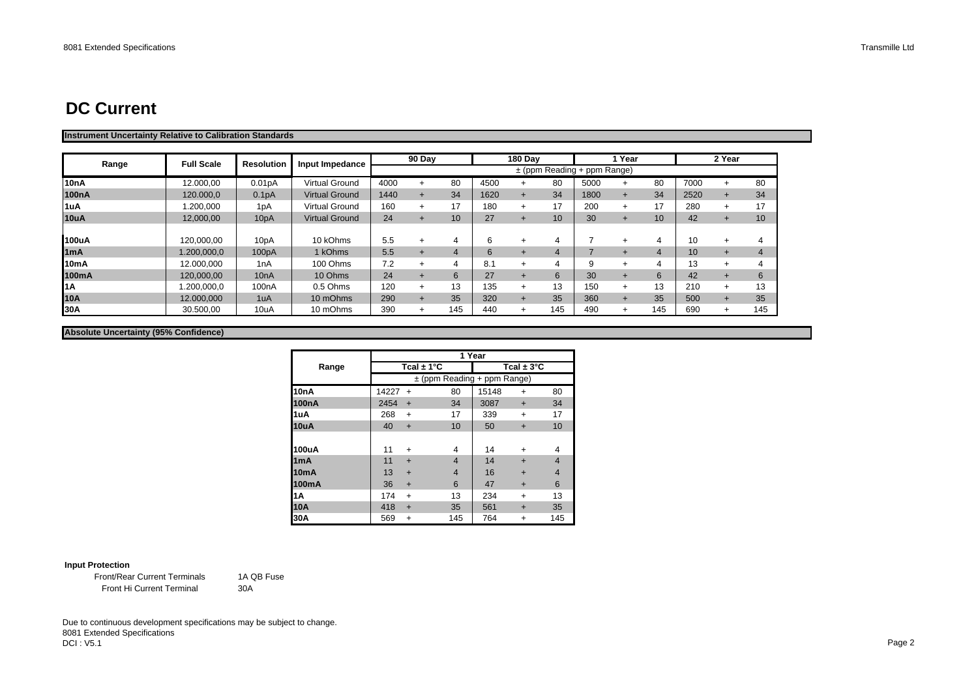### **DC Current**

#### **Instrument Uncertainty Relative to Calibration Standards**

| Range              | <b>Full Scale</b> | <b>Resolution</b>   | Input Impedance       |      | 90 Day |                 |      | <b>180 Dav</b> |                 |                                 | 1 Year    |                  |      | 2 Year |     |
|--------------------|-------------------|---------------------|-----------------------|------|--------|-----------------|------|----------------|-----------------|---------------------------------|-----------|------------------|------|--------|-----|
|                    |                   |                     |                       |      |        |                 |      |                |                 | $\pm$ (ppm Reading + ppm Range) |           |                  |      |        |     |
| 10 <sub>n</sub> A  | 12.000.00         | 0.01 <sub>p</sub> A | <b>Virtual Ground</b> | 4000 |        | 80              | 4500 | $\div$         | 80              | 5000                            | $\ddot{}$ | 80               | 7000 |        | 80  |
| 100 <sub>n</sub> A | 120,000.0         | 0.1 <sub>p</sub> A  | <b>Virtual Ground</b> | 1440 |        | 34              | 1620 | $+$            | 34              | 1800                            | $\ddot{}$ | 34               | 2520 |        | 34  |
| 1uA                | .200.000          | 1pA                 | <b>Virtual Ground</b> | 160  |        | 17              | 180  | $\ddot{}$      | 17              | 200                             | $+$       | 17               | 280  | $\div$ | 17  |
| 10uA               | 12,000,00         | 10 <sub>p</sub> A   | <b>Virtual Ground</b> | 24   |        | 10 <sup>°</sup> | 27   |                | 10 <sup>1</sup> | 30                              | $\div$    | 10 <sub>1</sub>  | 42   |        | 10  |
|                    |                   |                     |                       |      |        |                 |      |                |                 |                                 |           |                  |      |        |     |
| 100uA              | 120.000.00        | 10pA                | 10 kOhms              | 5.5  |        | 4               | 6    | $\div$         |                 |                                 | ÷         | 4                | 10   |        | 4   |
| 1 <sub>m</sub> A   | 1.200,000,0       | 100pA               | 1 kOhms               | 5.5  |        | $\overline{a}$  | 6    | $\overline{+}$ | 4               |                                 |           | $\boldsymbol{A}$ | 10   | $\div$ | 4   |
| 10 <sub>m</sub> A  | 12.000,000        | 1 <sub>n</sub> A    | 100 Ohms              | 7.2  |        | 4               | 8.1  | $\div$         |                 | 9                               | $\ddot{}$ |                  | 13   |        | 4   |
| 100mA              | 120,000,00        | 10 <sub>n</sub> A   | 10 Ohms               | 24   |        | 6               | 27   |                | 6               | 30                              | $\ddot{}$ | 6                | 42   |        | 6   |
| 1A                 | .200,000,0        | 100 <sub>n</sub> A  | 0.5 Ohms              | 120  |        | 13              | 135  | $+$            | 13              | 150                             | $+$       | 13               | 210  |        | 13  |
| 10A                | 12.000,000        | 1uA                 | 10 mOhms              | 290  |        | 35              | 320  | $+$            | 35              | 360                             | $+$       | 35               | 500  |        | 35  |
| 30A                | 30.500.00         | 10uA                | 10 mOhms              | 390  |        | 145             | 440  | $+$            | 145             | 490                             | $\ddot{}$ | 145              | 690  | $\pm$  | 145 |

#### **Absolute Uncertainty (95% Confidence)**

|                    |       |                |                                 | 1 Year |                        |                         |
|--------------------|-------|----------------|---------------------------------|--------|------------------------|-------------------------|
| Range              |       | Tcal $\pm$ 1°C |                                 |        | Tcal $\pm 3^{\circ}$ C |                         |
|                    |       |                | $\pm$ (ppm Reading + ppm Range) |        |                        |                         |
| 10 <sub>n</sub> A  | 14227 | $\ddot{}$      | 80                              | 15148  | $\ddot{}$              | 80                      |
| 100 <sub>n</sub> A | 2454  | $+$            | 34                              | 3087   | $+$                    | 34                      |
| 1uA                | 268   | $\ddot{}$      | 17                              | 339    | $\ddot{}$              | 17                      |
| 10uA               | 40    | $+$            | 10                              | 50     | $\ddot{}$              | 10                      |
|                    |       |                |                                 |        |                        |                         |
| 100uA              | 11    | $\ddot{}$      | 4                               | 14     | ÷                      | 4                       |
| 1 <sub>m</sub> A   | 11    | $\ddot{}$      | $\overline{4}$                  | 14     | $\div$                 | $\overline{\mathbf{4}}$ |
| 10 <sub>m</sub> A  | 13    | $\ddot{}$      | $\overline{4}$                  | 16     | $\ddot{}$              | $\overline{4}$          |
| 100mA              | 36    | $\ddot{}$      | 6                               | 47     | $\ddot{}$              | 6                       |
| 1A                 | 174   | $\ddot{}$      | 13                              | 234    | $\ddot{}$              | 13                      |
| <b>10A</b>         | 418   | $\ddot{}$      | 35                              | 561    | $\ddot{}$              | 35                      |
| 30A                | 569   | $\ddot{}$      | 145                             | 764    | +                      | 145                     |

#### **Input Protection**

Front Hi Current Terminal Front/Rear Current Terminals

1A QB Fuse30A

Due to continuous development specifications may be subject to change. 8081 Extended Specifications DCI : V5.1en and the state of the state of the state of the state of the state of the state of the state of the state of the state of the state of the state of the state of the state of the state of the state of the state of the sta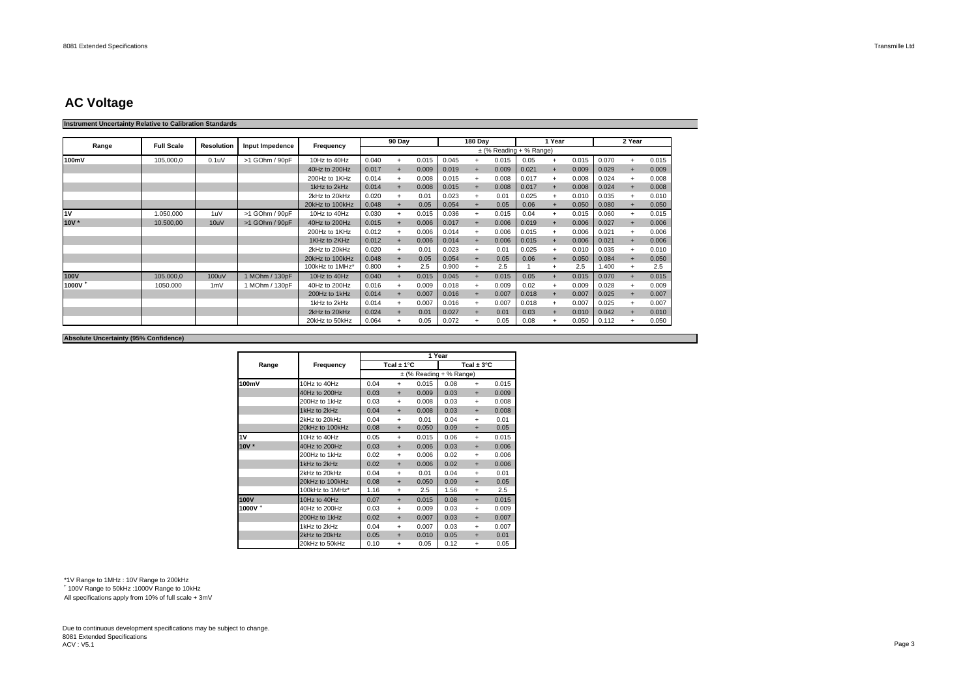### **AC Voltage**

#### **Instrument Uncertainty Relative to Calibration Standards**

|                    | <b>Full Scale</b> |                   |                 |                 |       | 90 Day    |       |       | 180 Day   |                             |       | Year      |       |       | 2 Year |       |
|--------------------|-------------------|-------------------|-----------------|-----------------|-------|-----------|-------|-------|-----------|-----------------------------|-------|-----------|-------|-------|--------|-------|
| Range              |                   | <b>Resolution</b> | Input Impedence | Frequency       |       |           |       |       |           | $\pm$ (% Reading + % Range) |       |           |       |       |        |       |
| 100mV              | 105.000.0         | 0.1 <sub>u</sub>  | >1 GOhm / 90pF  | 10Hz to 40Hz    | 0.040 | $+$       | 0.015 | 0.045 | $+$       | 0.015                       | 0.05  | $+$       | 0.015 | 0.070 | $+$    | 0.015 |
|                    |                   |                   |                 | 40Hz to 200Hz   | 0.017 | $+$       | 0.009 | 0.019 | $\ddot{}$ | 0.009                       | 0.021 | $+$       | 0.009 | 0.029 |        | 0.009 |
|                    |                   |                   |                 | 200Hz to 1KHz   | 0.014 |           | 0.008 | 0.015 | $+$       | 0.008                       | 0.017 | $+$       | 0.008 | 0.024 |        | 0.008 |
|                    |                   |                   |                 | 1kHz to 2kHz    | 0.014 | $+$       | 0.008 | 0.015 | $\ddot{}$ | 0.008                       | 0.017 | $+$       | 0.008 | 0.024 |        | 0.008 |
|                    |                   |                   |                 | 2kHz to 20kHz   | 0.020 | $+$       | 0.01  | 0.023 | $+$       | 0.01                        | 0.025 | $+$       | 0.010 | 0.035 |        | 0.010 |
|                    |                   |                   |                 | 20kHz to 100kHz | 0.048 | $+$       | 0.05  | 0.054 | $+$       | 0.05                        | 0.06  |           | 0.050 | 0.080 |        | 0.050 |
| 1V                 | 1.050.000         | 1uV               | >1 GOhm / 90pF  | 10Hz to 40Hz    | 0.030 | $\ddot{}$ | 0.015 | 0.036 | $+$       | 0.015                       | 0.04  | $\ddot{}$ | 0.015 | 0.060 |        | 0.015 |
| 10V *              | 10.500,00         | 10uV              | >1 GOhm / 90pF  | 40Hz to 200Hz   | 0.015 | $+$       | 0.006 | 0.017 | $+$       | 0.006                       | 0.019 | $+$       | 0.006 | 0.027 |        | 0.006 |
|                    |                   |                   |                 | 200Hz to 1KHz   | 0.012 |           | 0.006 | 0.014 | $\ddot{}$ | 0.006                       | 0.015 | $+$       | 0.006 | 0.021 |        | 0.006 |
|                    |                   |                   |                 | 1KHz to 2KHz    | 0.012 | $+$       | 0.006 | 0.014 | $+$       | 0.006                       | 0.015 | $\ddot{}$ | 0.006 | 0.021 |        | 0.006 |
|                    |                   |                   |                 | 2kHz to 20kHz   | 0.020 | $+$       | 0.01  | 0.023 | $+$       | 0.01                        | 0.025 | $+$       | 0.010 | 0.035 |        | 0.010 |
|                    |                   |                   |                 | 20kHz to 100kHz | 0.048 | $+$       | 0.05  | 0.054 | $\ddot{}$ | 0.05                        | 0.06  | $\ddot{}$ | 0.050 | 0.084 |        | 0.050 |
|                    |                   |                   |                 | 100kHz to 1MHz' | 0.800 | $+$       | 2.5   | 0.900 | $\ddot{}$ | 2.5                         |       | $\ddot{}$ | 2.5   | 1.400 |        | 2.5   |
| 100V               | 105,000.0         | 100uV             | 1 MOhm / 130pF  | 10Hz to 40Hz    | 0.040 | $+$       | 0.015 | 0.045 | $+$       | 0.015                       | 0.05  | $+$       | 0.015 | 0.070 | $+$    | 0.015 |
| 1000V <sup>+</sup> | 1050.000          | 1mV               | 1 MOhm / 130pF  | 40Hz to 200Hz   | 0.016 | $+$       | 0.009 | 0.018 | $\ddot{}$ | 0.009                       | 0.02  | $\ddot{}$ | 0.009 | 0.028 |        | 0.009 |
|                    |                   |                   |                 | 200Hz to 1kHz   | 0.014 | $+$       | 0.007 | 0.016 | $+$       | 0.007                       | 0.018 | $+$       | 0.007 | 0.025 |        | 0.007 |
|                    |                   |                   |                 | 1kHz to 2kHz    | 0.014 | $+$       | 0.007 | 0.016 | $+$       | 0.007                       | 0.018 | $+$       | 0.007 | 0.025 |        | 0.007 |
|                    |                   |                   |                 | 2kHz to 20kHz   | 0.024 | $+$       | 0.01  | 0.027 | $+$       | 0.01                        | 0.03  | $\ddot{}$ | 0.010 | 0.042 |        | 0.010 |
|                    |                   |                   |                 | 20kHz to 50kHz  | 0.064 | $+$       | 0.05  | 0.072 | $\ddot{}$ | 0.05                        | 0.08  | $+$       | 0.050 | 0.112 |        | 0.050 |

#### **Absolute Uncertainty (95% Confidence)**

|             |                 |      |                |                             | 1 Year |                        |       |
|-------------|-----------------|------|----------------|-----------------------------|--------|------------------------|-------|
| Range       | Frequency       |      | Tcal $\pm$ 1°C |                             |        | Tcal $\pm 3^{\circ}$ C |       |
|             |                 |      |                | $\pm$ (% Reading + % Range) |        |                        |       |
| 100mV       | 10Hz to 40Hz    | 0.04 | $\ddot{}$      | 0.015                       | 0.08   | $\ddot{}$              | 0.015 |
|             | 40Hz to 200Hz   | 0.03 | $\ddot{}$      | 0.009                       | 0.03   | $\ddot{}$              | 0.009 |
|             | 200Hz to 1kHz   | 0.03 | $+$            | 0.008                       | 0.03   | $\ddot{}$              | 0.008 |
|             | 1kHz to 2kHz    | 0.04 | $+$            | 0.008                       | 0.03   | $\ddot{}$              | 0.008 |
|             | 2kHz to 20kHz   | 0.04 | $\ddot{}$      | 0.01                        | 0.04   | $\ddot{}$              | 0.01  |
|             | 20kHz to 100kHz | 0.08 | $\ddot{}$      | 0.050                       | 0.09   | $\ddot{}$              | 0.05  |
| 1V          | 10Hz to 40Hz    | 0.05 | $\ddot{}$      | 0.015                       | 0.06   | $\ddot{}$              | 0.015 |
| $10V^*$     | 40Hz to 200Hz   | 0.03 | $\ddot{}$      | 0.006                       | 0.03   | $\ddot{}$              | 0.006 |
|             | 200Hz to 1kHz   | 0.02 | $\ddot{}$      | 0.006                       | 0.02   | $\ddot{}$              | 0.006 |
|             | 1kHz to 2kHz    | 0.02 | $+$            | 0.006                       | 0.02   | $+$                    | 0.006 |
|             | 2kHz to 20kHz   | 0.04 | $\ddot{}$      | 0.01                        | 0.04   | $\ddot{}$              | 0.01  |
|             | 20kHz to 100kHz | 0.08 | $\ddot{}$      | 0.050                       | 0.09   | $\ddot{}$              | 0.05  |
|             | 100kHz to 1MHz* | 1.16 | $\ddot{}$      | 2.5                         | 1.56   | $\ddot{}$              | 2.5   |
| <b>100V</b> | 10Hz to 40Hz    | 0.07 | $+$            | 0.015                       | 0.08   | $\ddot{}$              | 0.015 |
| 1000V +     | 40Hz to 200Hz   | 0.03 | $\ddot{}$      | 0.009                       | 0.03   | $\ddot{}$              | 0.009 |
|             | 200Hz to 1kHz   | 0.02 | $+$            | 0.007                       | 0.03   | $+$                    | 0.007 |
|             | 1kHz to 2kHz    | 0.04 | $\ddot{}$      | 0.007                       | 0.03   | $\ddot{}$              | 0.007 |
|             | 2kHz to 20kHz   | 0.05 | $+$            | 0.010                       | 0.05   | $+$                    | 0.01  |
|             | 20kHz to 50kHz  | 0.10 | $\ddot{}$      | 0.05                        | 0.12   | $\ddot{}$              | 0.05  |

\*1V Range to 1MHz : 10V Range to 200kHz

+ 100V Range to 50kHz :1000V Range to 10kHz

All specifications apply from 10% of full scale + 3mV

Due to continuous development specifications may be subject to change. 8081 Extended Specifications ACV : V5.11 de encontrador de la contrador de la contrador de la contrador de la contrador de la contrador de la contrador de la contrador de la contrador de la contrador de la contrador de la contrador de la contrador de la contrad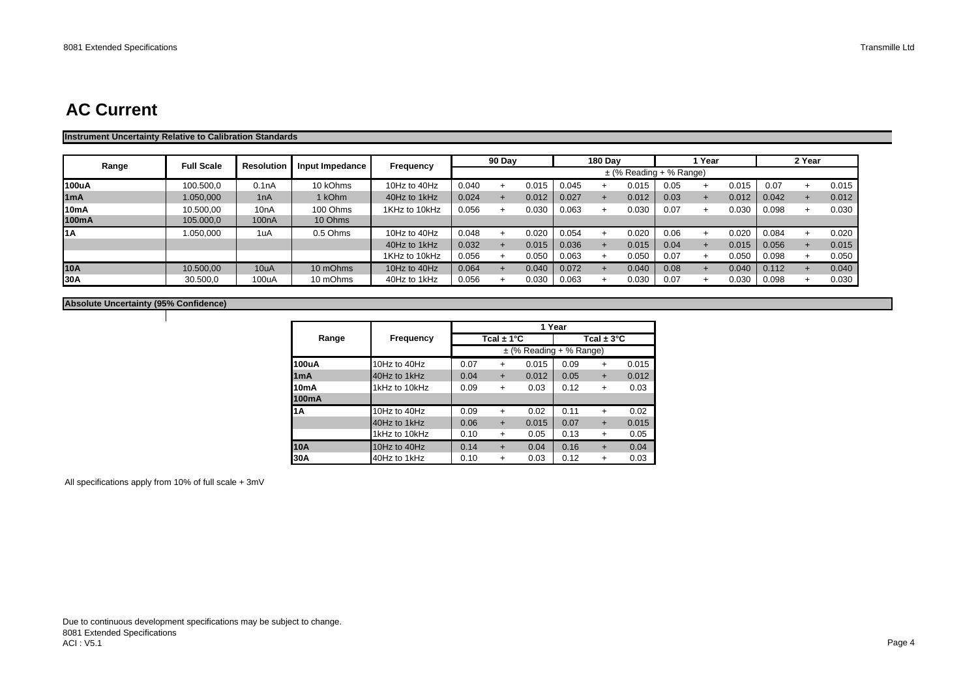#### **Instrument Uncertainty Relative to Calibration Standards**

| Range             | <b>Full Scale</b> | <b>Resolution</b>  | Input Impedance | Frequency     |       | 90 Day |       |       | <b>180 Dav</b> |                             |      | Year |       |       | 2 Year |       |
|-------------------|-------------------|--------------------|-----------------|---------------|-------|--------|-------|-------|----------------|-----------------------------|------|------|-------|-------|--------|-------|
|                   |                   |                    |                 |               |       |        |       |       |                | $\pm$ (% Reading + % Range) |      |      |       |       |        |       |
| 100uA             | 100.500,0         | 0.1nA              | 10 kOhms        | 10Hz to 40Hz  | 0.040 |        | 0.015 | 0.045 |                | 0.015                       | 0.05 |      | 0.015 | 0.07  |        | 0.015 |
| 1mA               | 1.050.000         | 1nA                | 1 kOhm          | 40Hz to 1kHz  | 0.024 |        | 0.012 | 0.027 | $+$            | 0.012                       | 0.03 |      | 0.012 | 0.042 |        | 0.012 |
| 10 <sub>m</sub> A | 10.500,00         | 10 <sub>n</sub> A  | 100 Ohms        | 1KHz to 10kHz | 0.056 |        | 0.030 | 0.063 | $\div$         | 0.030                       | 0.07 | ÷    | 0.030 | 0.098 |        | 0.030 |
| 100mA             | 105.000,0         | 100 <sub>n</sub> A | 10 Ohms         |               |       |        |       |       |                |                             |      |      |       |       |        |       |
| l1A               | 1.050,000         | 1uA                | 0.5 Ohms        | 10Hz to 40Hz  | 0.048 |        | 0.020 | 0.054 |                | 0.020                       | 0.06 |      | 0.020 | 0.084 |        | 0.020 |
|                   |                   |                    |                 | 40Hz to 1kHz  | 0.032 |        | 0.015 | 0.036 |                | 0.015                       | 0.04 |      | 0.015 | 0.056 |        | 0.015 |
|                   |                   |                    |                 | 1KHz to 10kHz | 0.056 |        | 0.050 | 0.063 |                | 0.050                       | 0.07 |      | 0.050 | 0.098 |        | 0.050 |
| 10A               | 10.500.00         | 10uA               | 10 mOhms        | 10Hz to 40Hz  | 0.064 |        | 0.040 | 0.072 | $+$            | 0.040                       | 0.08 |      | 0.040 | 0.112 |        | 0.040 |
| <b>30A</b>        | 30.500,0          | 100uA              | 10 mOhms        | 40Hz to 1kHz  | 0.056 |        | 0.030 | 0.063 |                | 0.030                       | 0.07 |      | 0.030 | 0.098 |        | 0.030 |

#### **Absolute Uncertainty (95% Confidence)**

|       |               |      |                |                             | 1 Year |                        |       |
|-------|---------------|------|----------------|-----------------------------|--------|------------------------|-------|
| Range | Frequency     |      | Tcal $\pm$ 1°C |                             |        | Tcal $\pm 3^{\circ}$ C |       |
|       |               |      |                | $\pm$ (% Reading + % Range) |        |                        |       |
| 100uA | 10Hz to 40Hz  | 0.07 | $\ddot{}$      | 0.015                       | 0.09   | $\ddot{}$              | 0.015 |
| 1mA   | 40Hz to 1kHz  | 0.04 | $\ddot{}$      | 0.012                       | 0.05   | $\ddot{}$              | 0.012 |
| 10mA  | 1kHz to 10kHz | 0.09 | $\ddot{}$      | 0.03                        | 0.12   | $\ddot{}$              | 0.03  |
| 100mA |               |      |                |                             |        |                        |       |
| 1Α    | 10Hz to 40Hz  | 0.09 | $\ddot{}$      | 0.02                        | 0.11   | $\ddot{}$              | 0.02  |
|       | 40Hz to 1kHz  | 0.06 | $\ddot{}$      | 0.015                       | 0.07   | $\ddot{}$              | 0.015 |
|       | 1kHz to 10kHz | 0.10 | $\ddot{}$      | 0.05                        | 0.13   | $\ddot{}$              | 0.05  |
| 10A   | 10Hz to 40Hz  | 0.14 | $\ddot{}$      | 0.04                        | 0.16   | $\ddot{}$              | 0.04  |
| 30A   | 40Hz to 1kHz  | 0.10 | +              | 0.03                        | 0.12   | +                      | 0.03  |

All specifications apply from 10% of full scale + 3mV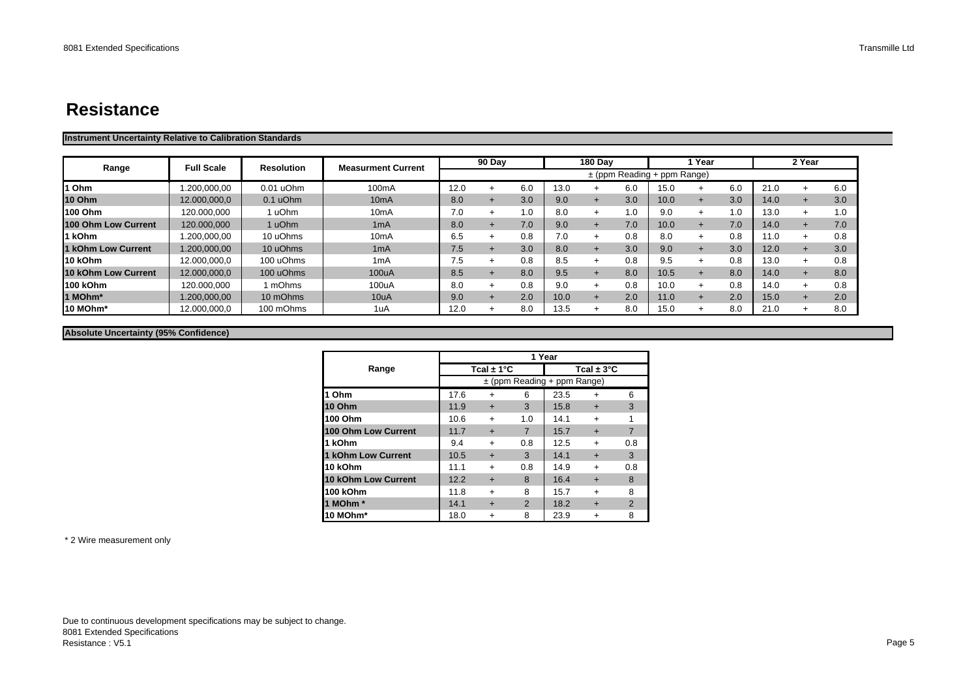## **Resistance**

#### **Instrument Uncertainty Relative to Calibration Standards**

|                     | <b>Full Scale</b> | <b>Resolution</b> | <b>Measurment Current</b> |      | 90 Day |      |      | <b>180 Dav</b> |     |                                 | Year   |     |      | 2 Year |     |
|---------------------|-------------------|-------------------|---------------------------|------|--------|------|------|----------------|-----|---------------------------------|--------|-----|------|--------|-----|
| Range               |                   |                   |                           |      |        |      |      |                |     | $\pm$ (ppm Reading + ppm Range) |        |     |      |        |     |
| Ohm                 | .200,000,00       | $0.01$ uOhm       | 100mA                     | 12.0 |        | 6.0  | 13.0 |                | 6.0 | 15.0                            |        | 6.0 | 21.0 |        | 6.0 |
| <b>10 Ohm</b>       | 12.000,000,0      | $0.1$ uOhm        | 10mA                      | 8.0  |        | 3.0  | 9.0  | $\overline{+}$ | 3.0 | 10.0                            | +      | 3.0 | 14.0 |        | 3.0 |
| 100 Ohm             | 120.000,000       | uOhm              | 10mA                      | 7.0  |        | 0. ا | 8.0  |                | .0  | 9.0                             | ÷      | 1.0 | 13.0 |        | 1.0 |
| 100 Ohm Low Current | 120.000,000       | 1 uOhm            | 1mA                       | 8.0  |        | 7.0  | 9.0  |                | 7.0 | 10.0                            |        | 7.0 | 14.0 |        | 7.0 |
| 1 kOhm              | 1.200,000,00      | 10 uOhms          | 10 <sub>m</sub> A         | 6.5  |        | 0.8  | 7.0  |                | 0.8 | 8.0                             |        | 0.8 | 11.0 |        | 0.8 |
| 1 kOhm Low Current  | 1.200,000,00      | 10 uOhms          | 1mA                       | 7.5  |        | 3.0  | 8.0  |                | 3.0 | 9.0                             |        | 3.0 | 12.0 |        | 3.0 |
| 10 kOhm             | 12.000.000.0      | 100 uOhms         | 1 <sub>m</sub> A          | 7.5  |        | 0.8  | 8.5  |                | 0.8 | 9.5                             | $\div$ | 0.8 | 13.0 |        | 0.8 |
| 10 kOhm Low Current | 12.000,000,0      | 100 uOhms         | 100uA                     | 8.5  |        | 8.0  | 9.5  | $\overline{+}$ | 8.0 | 10.5                            |        | 8.0 | 14.0 |        | 8.0 |
| 100 kOhm            | 120.000,000       | 1 mOhms           | 100uA                     | 8.0  |        | 0.8  | 9.0  |                | 0.8 | 10.0                            | $\div$ | 0.8 | 14.0 |        | 0.8 |
| 1 MOhm*             | 1.200,000,00      | 10 mOhms          | 10uA                      | 9.0  |        | 2.0  | 10.0 |                | 2.0 | 11.0                            |        | 2.0 | 15.0 |        | 2.0 |
| 10 MOhm*            | 12.000.000.0      | 100 mOhms         | 1uA                       | 12.0 |        | 8.0  | 13.5 |                | 8.0 | 15.0                            | $+$    | 8.0 | 21.0 |        | 8.0 |

#### **Absolute Uncertainty (95% Confidence)**

|                           |      |                | 1 Year         |                                 |                        |               |
|---------------------------|------|----------------|----------------|---------------------------------|------------------------|---------------|
| Range                     |      | Tcal $\pm$ 1°C |                |                                 | Tcal $\pm 3^{\circ}$ C |               |
|                           |      |                |                | $\pm$ (ppm Reading + ppm Range) |                        |               |
| 1 Ohm                     | 17.6 | $\ddot{}$      | 6              | 23.5                            | ÷                      | 6             |
| <b>10 Ohm</b>             | 11.9 | $\div$         | 3              | 15.8                            | $\div$                 | 3             |
| 100 Ohm                   | 10.6 | $\ddot{}$      | 1.0            | 14.1                            | $\ddot{}$              |               |
| 100 Ohm Low Current       | 11.7 | $\ddot{}$      | $\overline{7}$ | 15.7                            | $\ddot{}$              | 7             |
| 1 kOhm                    | 9.4  | $\ddot{}$      | 0.8            | 12.5                            | $\ddot{}$              | 0.8           |
| <b>1 kOhm Low Current</b> | 10.5 | $\ddot{}$      | 3              | 14.1                            | $\div$                 | 3             |
| 10 kOhm                   | 11.1 | $\ddot{}$      | 0.8            | 14.9                            | $\div$                 | 0.8           |
| 10 kOhm Low Current       | 12.2 | $\ddot{}$      | 8              | 16.4                            | $\div$                 | 8             |
| 100 kOhm                  | 11.8 | $\div$         | 8              | 15.7                            | $\div$                 | 8             |
| 1 MOhm <sup>*</sup>       | 14.1 | $\div$         | $\mathfrak{p}$ | 18.2                            | $\div$                 | $\mathcal{P}$ |
| 10 MOhm*                  | 18.0 | ٠              | 8              | 23.9                            |                        | 8             |

\* 2 Wire measurement only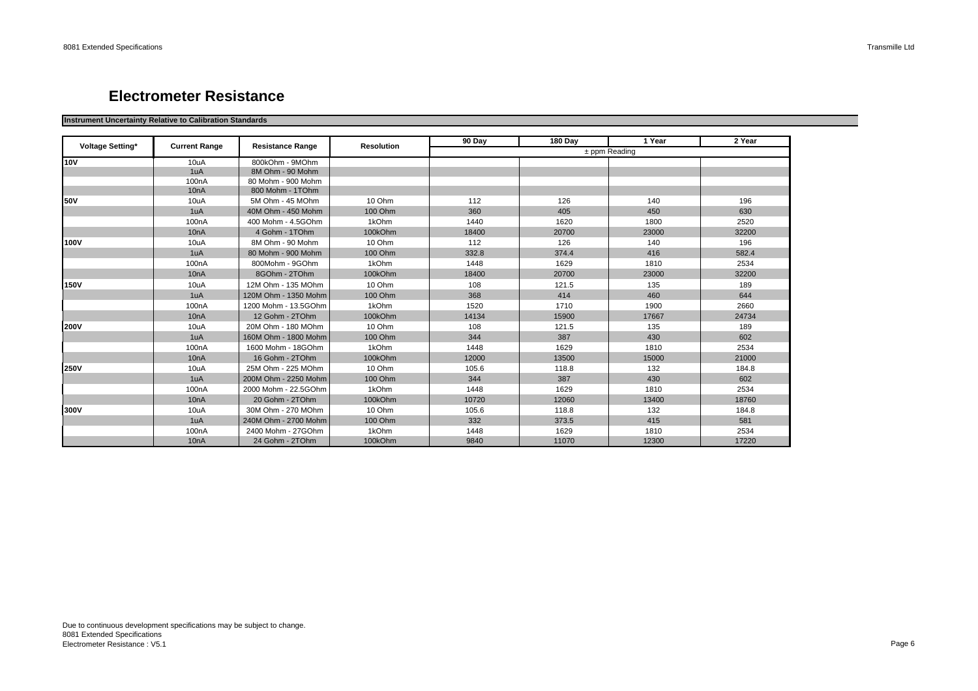### **Electrometer Resistance**

#### **Instrument Uncertainty Relative to Calibration Standards**

| Voltage Setting* | <b>Current Range</b> | <b>Resistance Range</b> | <b>Resolution</b> | 90 Day | <b>180 Dav</b> | 1 Year          | 2 Year |
|------------------|----------------------|-------------------------|-------------------|--------|----------------|-----------------|--------|
|                  |                      |                         |                   |        |                | $±$ ppm Reading |        |
| <b>10V</b>       | 10uA                 | 800kOhm - 9MOhm         |                   |        |                |                 |        |
|                  | 1uA                  | 8M Ohm - 90 Mohm        |                   |        |                |                 |        |
|                  | 100 <sub>n</sub> A   | 80 Mohm - 900 Mohm      |                   |        |                |                 |        |
|                  | 10 <sub>n</sub> A    | 800 Mohm - 1TOhm        |                   |        |                |                 |        |
| <b>50V</b>       | 10uA                 | 5M Ohm - 45 MOhm        | 10 Ohm            | 112    | 126            | 140             | 196    |
|                  | 1uA                  | 40M Ohm - 450 Mohm      | 100 Ohm           | 360    | 405            | 450             | 630    |
|                  | 100 <sub>n</sub> A   | 400 Mohm - 4.5GOhm      | 1kOhm             | 1440   | 1620           | 1800            | 2520   |
|                  | 10 <sub>n</sub> A    | 4 Gohm - 1TOhm          | 100kOhm           | 18400  | 20700          | 23000           | 32200  |
| 100V             | 10uA                 | 8M Ohm - 90 Mohm        | 10 Ohm            | 112    | 126            | 140             | 196    |
|                  | 1uA                  | 80 Mohm - 900 Mohm      | 100 Ohm           | 332.8  | 374.4          | 416             | 582.4  |
|                  | 100 <sub>n</sub> A   | 800Mohm - 9GOhm         | 1kOhm             | 1448   | 1629           | 1810            | 2534   |
|                  | 10 <sub>n</sub> A    | 8GOhm - 2TOhm           | 100kOhm           | 18400  | 20700          | 23000           | 32200  |
| 150V             | 10uA                 | 12M Ohm - 135 MOhm      | 10 Ohm            | 108    | 121.5          | 135             | 189    |
|                  | 1uA                  | 120M Ohm - 1350 Mohm    | 100 Ohm           | 368    | 414            | 460             | 644    |
|                  | 100 <sub>n</sub> A   | 1200 Mohm - 13.5GOhm    | 1kOhm             | 1520   | 1710           | 1900            | 2660   |
|                  | 10 <sub>n</sub> A    | 12 Gohm - 2TOhm         | 100kOhm           | 14134  | 15900          | 17667           | 24734  |
| <b>200V</b>      | 10uA                 | 20M Ohm - 180 MOhm      | 10 Ohm            | 108    | 121.5          | 135             | 189    |
|                  | 1uA                  | 160M Ohm - 1800 Mohm    | 100 Ohm           | 344    | 387            | 430             | 602    |
|                  | 100 <sub>n</sub> A   | 1600 Mohm - 18GOhm      | 1kOhm             | 1448   | 1629           | 1810            | 2534   |
|                  | 10 <sub>n</sub> A    | 16 Gohm - 2TOhm         | 100kOhm           | 12000  | 13500          | 15000           | 21000  |
| <b>250V</b>      | 10uA                 | 25M Ohm - 225 MOhm      | 10 Ohm            | 105.6  | 118.8          | 132             | 184.8  |
|                  | 1uA                  | 200M Ohm - 2250 Mohm    | 100 Ohm           | 344    | 387            | 430             | 602    |
|                  | 100 <sub>n</sub> A   | 2000 Mohm - 22.5GOhm    | 1kOhm             | 1448   | 1629           | 1810            | 2534   |
|                  | 10 <sub>n</sub> A    | 20 Gohm - 2TOhm         | 100kOhm           | 10720  | 12060          | 13400           | 18760  |
| 300V             | 10uA                 | 30M Ohm - 270 MOhm      | 10 Ohm            | 105.6  | 118.8          | 132             | 184.8  |
|                  | 1uA                  | 240M Ohm - 2700 Mohm    | 100 Ohm           | 332    | 373.5          | 415             | 581    |
|                  | 100 <sub>n</sub> A   | 2400 Mohm - 27GOhm      | 1kOhm             | 1448   | 1629           | 1810            | 2534   |
|                  | 10 <sub>n</sub> A    | 24 Gohm - 2TOhm         | 100kOhm           | 9840   | 11070          | 12300           | 17220  |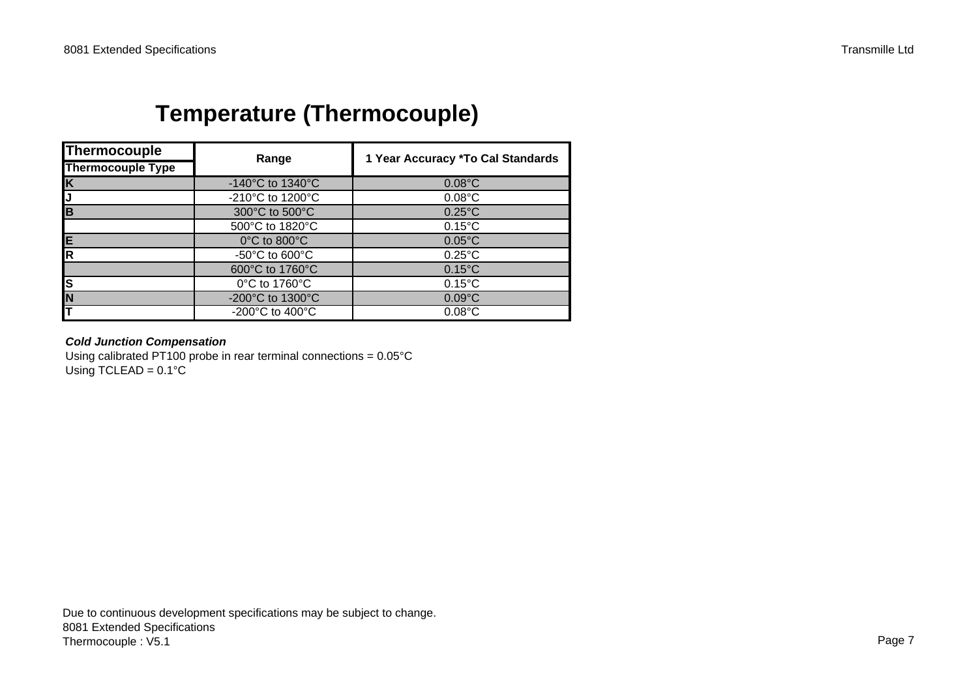# **Temperature (Thermocouple)**

| Thermocouple             | Range                                  | 1 Year Accuracy *To Cal Standards |
|--------------------------|----------------------------------------|-----------------------------------|
| <b>Thermocouple Type</b> |                                        |                                   |
| $\overline{\mathsf{K}}$  | -140 $^{\circ}$ C to 1340 $^{\circ}$ C | $0.08$ °C                         |
| J                        | -210°C to 1200°C                       | $0.08$ °C                         |
| <b>B</b>                 | 300°C to 500°C                         | $0.25^{\circ}$ C                  |
|                          | 500°C to 1820°C                        | $0.15^{\circ}$ C                  |
| E                        | $0^{\circ}$ C to 800 $^{\circ}$ C      | $0.05^{\circ}$ C                  |
| $\overline{\mathsf{R}}$  | -50 $^{\circ}$ C to 600 $^{\circ}$ C   | $0.25^{\circ}$ C                  |
|                          | 600°C to 1760°C                        | $0.15^{\circ}$ C                  |
| S                        | 0°C to 1760°C                          | $0.15^{\circ}$ C                  |
| N                        | -200°C to 1300°C                       | $0.09$ °C                         |
|                          | -200 $\degree$ C to 400 $\degree$ C    | $0.08$ °C                         |

### *Cold Junction Compensation*

Using calibrated PT100 probe in rear terminal connections = 0.05°C Using TCLEAD =  $0.1^{\circ}$ C

Due to continuous development specifications may be subject to change. 8081 Extended Specifications Thermocouple : V5.1 Page 7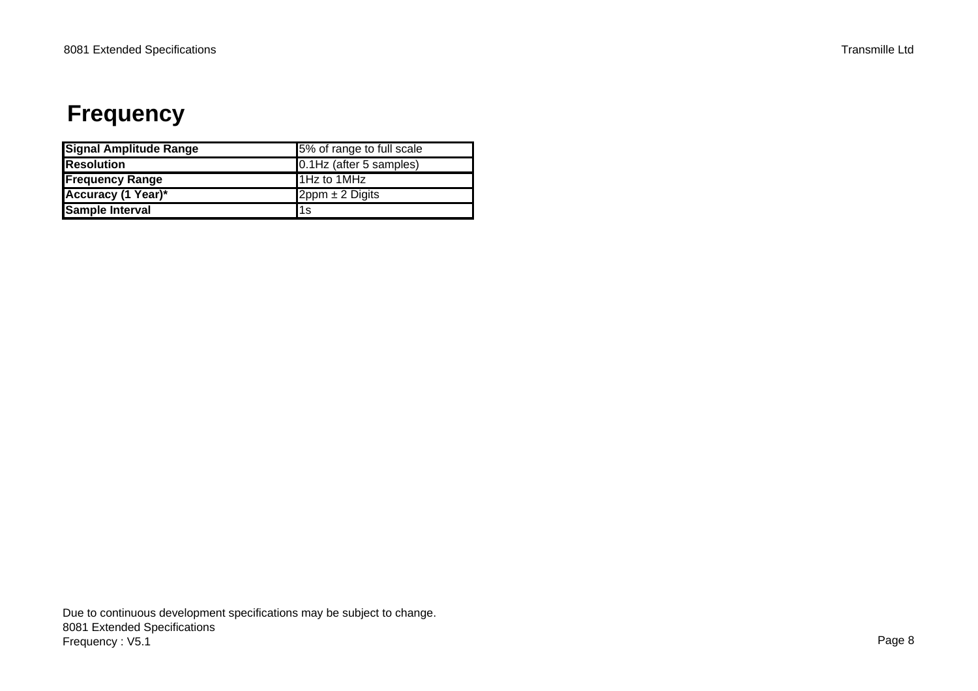# **Frequency**

| <b>Signal Amplitude Range</b> | 5% of range to full scale |
|-------------------------------|---------------------------|
| <b>Resolution</b>             | 0.1Hz (after 5 samples)   |
| <b>Frequency Range</b>        | 1Hz to 1MHz               |
| <b>Accuracy (1 Year)*</b>     | $2$ ppm $\pm$ 2 Digits    |
| <b>Sample Interval</b>        | l1s                       |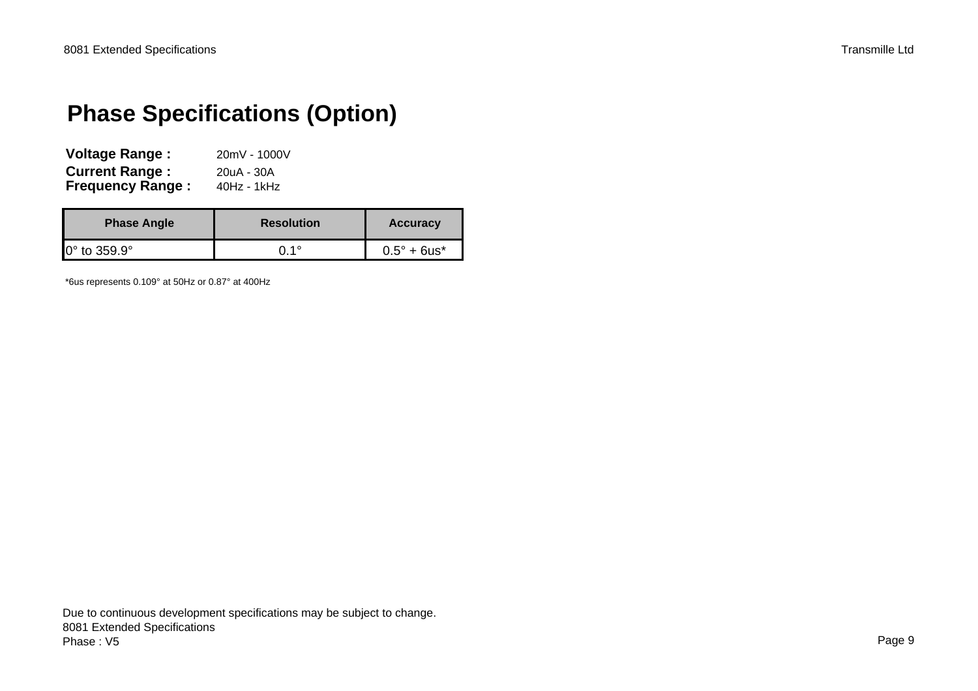# **Phase Specifications (Option)**

| <b>Voltage Range:</b>   | 20mV - 1000V |
|-------------------------|--------------|
| <b>Current Range:</b>   | 20uA - 30A   |
| <b>Frequency Range:</b> | 40Hz - 1kHz  |

| <b>Phase Angle</b>          | <b>Resolution</b> | <b>Accuracy</b>       |
|-----------------------------|-------------------|-----------------------|
| $0^\circ$ to 359.9 $^\circ$ | ∩ 1°              | $0.5^{\circ} + 6$ us* |

\*6us represents 0.109° at 50Hz or 0.87° at 400Hz

Due to continuous development specifications may be subject to change. 8081 Extended Specifications Phase : V5Page 9